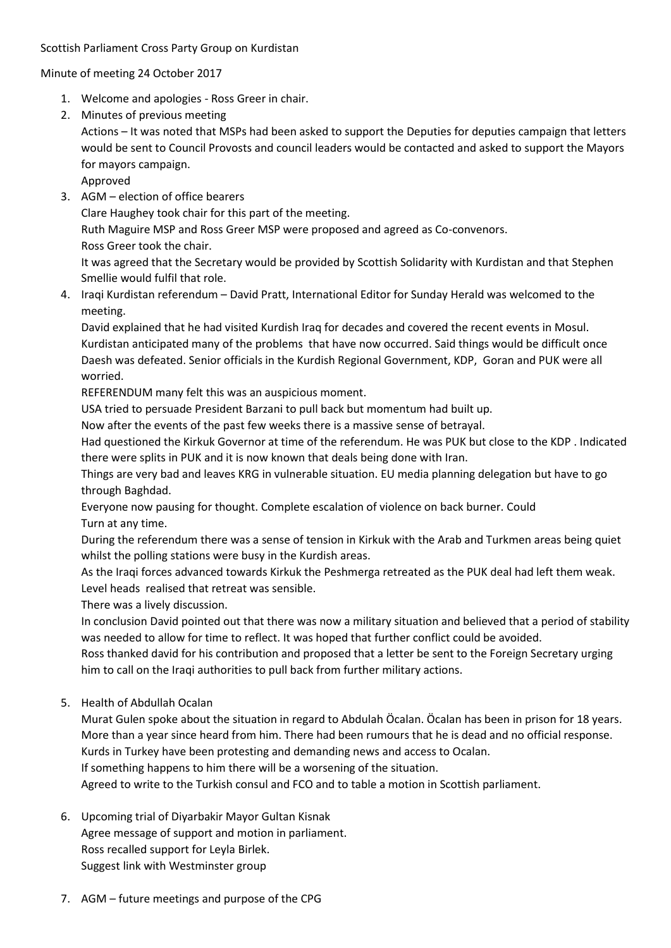Minute of meeting 24 October 2017

- 1. Welcome and apologies Ross Greer in chair.
- 2. Minutes of previous meeting

Actions – It was noted that MSPs had been asked to support the Deputies for deputies campaign that letters would be sent to Council Provosts and council leaders would be contacted and asked to support the Mayors for mayors campaign.

Approved

3. AGM – election of office bearers

Clare Haughey took chair for this part of the meeting.

Ruth Maguire MSP and Ross Greer MSP were proposed and agreed as Co-convenors.

Ross Greer took the chair.

It was agreed that the Secretary would be provided by Scottish Solidarity with Kurdistan and that Stephen Smellie would fulfil that role.

4. Iraqi Kurdistan referendum – David Pratt, International Editor for Sunday Herald was welcomed to the meeting.

David explained that he had visited Kurdish Iraq for decades and covered the recent events in Mosul. Kurdistan anticipated many of the problems that have now occurred. Said things would be difficult once Daesh was defeated. Senior officials in the Kurdish Regional Government, KDP, Goran and PUK were all worried.

REFERENDUM many felt this was an auspicious moment.

USA tried to persuade President Barzani to pull back but momentum had built up.

Now after the events of the past few weeks there is a massive sense of betrayal.

Had questioned the Kirkuk Governor at time of the referendum. He was PUK but close to the KDP . Indicated there were splits in PUK and it is now known that deals being done with Iran.

Things are very bad and leaves KRG in vulnerable situation. EU media planning delegation but have to go through Baghdad.

Everyone now pausing for thought. Complete escalation of violence on back burner. Could Turn at any time.

During the referendum there was a sense of tension in Kirkuk with the Arab and Turkmen areas being quiet whilst the polling stations were busy in the Kurdish areas.

As the Iraqi forces advanced towards Kirkuk the Peshmerga retreated as the PUK deal had left them weak. Level heads realised that retreat was sensible.

There was a lively discussion.

In conclusion David pointed out that there was now a military situation and believed that a period of stability was needed to allow for time to reflect. It was hoped that further conflict could be avoided.

Ross thanked david for his contribution and proposed that a letter be sent to the Foreign Secretary urging him to call on the Iraqi authorities to pull back from further military actions.

5. Health of Abdullah Ocalan

Murat Gulen spoke about the situation in regard to Abdulah Öcalan. Öcalan has been in prison for 18 years. More than a year since heard from him. There had been rumours that he is dead and no official response. Kurds in Turkey have been protesting and demanding news and access to Ocalan.

If something happens to him there will be a worsening of the situation.

Agreed to write to the Turkish consul and FCO and to table a motion in Scottish parliament.

- 6. Upcoming trial of Diyarbakir Mayor Gultan Kisnak Agree message of support and motion in parliament. Ross recalled support for Leyla Birlek. Suggest link with Westminster group
- 7. AGM future meetings and purpose of the CPG